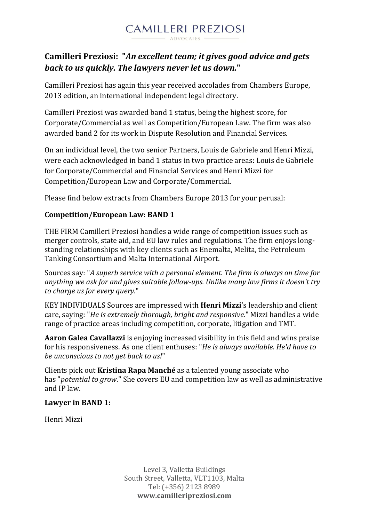

# **Camilleri Preziosi: "***An excellent team; it gives good advice and gets back to us quickly. The lawyers never let us down.***"**

Camilleri Preziosi has again this year received accolades from Chambers Europe, 2013 edition, an international independent legal directory.

Camilleri Preziosi was awarded band 1 status, being the highest score, for Corporate/Commercial as well as Competition/European Law. The firm was also awarded band 2 for its work in Dispute Resolution and Financial Services.

On an individual level, the two senior Partners, Louis de Gabriele and Henri Mizzi, were each acknowledged in band 1 status in two practice areas: Louis de Gabriele for Corporate/Commercial and Financial Services and Henri Mizzi for Competition/European Law and Corporate/Commercial.

Please find below extracts from Chambers Europe 2013 for your perusal:

# **Competition/European Law: BAND 1**

THE FIRM Camilleri Preziosi handles a wide range of competition issues such as merger controls, state aid, and EU law rules and regulations. The firm enjoys longstanding relationships with key clients such as Enemalta, Melita, the Petroleum Tanking Consortium and Malta International Airport.

Sources say: "*A superb service with a personal element. The firm is always on time for anything we ask for and gives suitable follow-ups. Unlike many law firms it doesn't try to charge us for every query.*"

KEY INDIVIDUALS Sources are impressed with **[Henri Mizzi](http://www.chambersandpartners.com/Europe/Firms/99999999-74129/28351)**'s leadership and client care, saying: "*He is extremely thorough, bright and responsive.*" Mizzi handles a wide range of practice areas including competition, corporate, litigation and TMT.

**[Aaron Galea Cavallazzi](http://www.chambersandpartners.com/Europe/Firms/99999999-74129/483247)** is enjoying increased visibility in this field and wins praise for his responsiveness. As one client enthuses: "*He is always available. He'd have to be unconscious to not get back to us!*"

Clients pick out **[Kristina Rapa Manché](http://www.chambersandpartners.com/Europe/Firms/99999999-74129/645125)** as a talented young associate who has "*potential to grow*." She covers EU and competition law as well as administrative and IP law.

## **Lawyer in BAND 1:**

Henri Mizzi

Level 3, Valletta Buildings South Street, Valletta, VLT1103, Malta Tel: (+356) 2123 8989 **www.camilleripreziosi.com**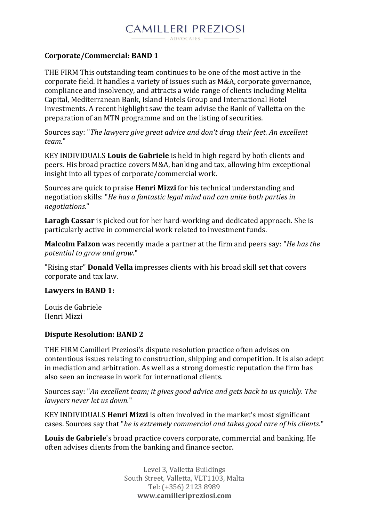# **Corporate/Commercial: BAND 1**

THE FIRM This outstanding team continues to be one of the most active in the corporate field. It handles a variety of issues such as M&A, corporate governance, compliance and insolvency, and attracts a wide range of clients including Melita Capital, Mediterranean Bank, Island Hotels Group and International Hotel Investments. A recent highlight saw the team advise the Bank of Valletta on the preparation of an MTN programme and on the listing of securities.

Sources say: "*The lawyers give great advice and don't drag their feet. An excellent team.*"

KEY INDIVIDUALS **[Louis de Gabriele](http://www.chambersandpartners.com/Europe/Firms/99999999-74130/28350)** is held in high regard by both clients and peers. His broad practice covers M&A, banking and tax, allowing him exceptional insight into all types of corporate/commercial work.

Sources are quick to praise **[Henri Mizzi](http://www.chambersandpartners.com/Europe/Firms/99999999-74130/28351)** for his technical understanding and negotiation skills: "*He has a fantastic legal mind and can unite both parties in negotiations.*"

**[Laragh Cassar](http://www.chambersandpartners.com/Europe/Firms/99999999-74130/420015)** is picked out for her hard-working and dedicated approach. She is particularly active in commercial work related to investment funds.

**[Malcolm Falzon](http://www.chambersandpartners.com/Europe/Firms/99999999-74130/554028)** was recently made a partner at the firm and peers say: "*He has the potential to grow and grow.*"

"Rising star" **[Donald Vella](http://www.chambersandpartners.com/Europe/Firms/99999999-74130/420014)** impresses clients with his broad skill set that covers corporate and tax law.

#### **Lawyers in BAND 1:**

Louis de Gabriele Henri Mizzi

## **Dispute Resolution: BAND 2**

THE FIRM Camilleri Preziosi's dispute resolution practice often advises on contentious issues relating to construction, shipping and competition. It is also adept in mediation and arbitration. As well as a strong domestic reputation the firm has also seen an increase in work for international clients.

Sources say: "*An excellent team; it gives good advice and gets back to us quickly. The lawyers never let us down.*"

KEY INDIVIDUALS **[Henri Mizzi](http://www.chambersandpartners.com/Europe/Firms/99999999-74131/28351)** is often involved in the market's most significant cases. Sources say that "*he is extremely commercial and takes good care of his clients.*"

**[Louis de Gabriele](http://www.chambersandpartners.com/Europe/Firms/99999999-74131/28350)**'s broad practice covers corporate, commercial and banking. He often advises clients from the banking and finance sector.

> Level 3, Valletta Buildings South Street, Valletta, VLT1103, Malta Tel: (+356) 2123 8989 **www.camilleripreziosi.com**